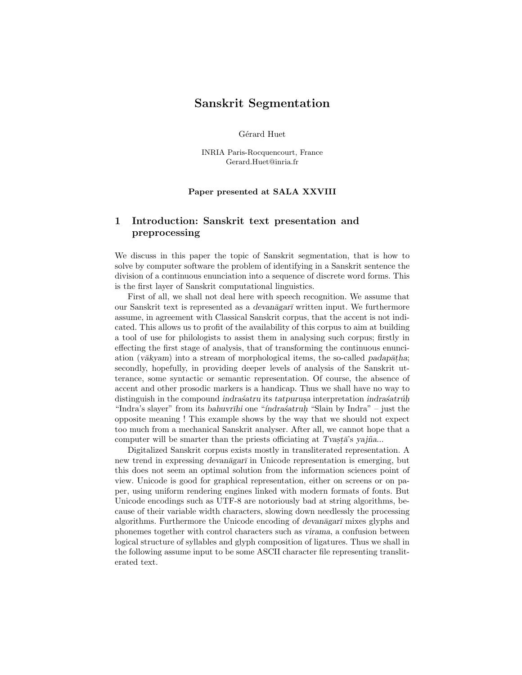# Sanskrit Segmentation

Gérard Huet

INRIA Paris-Rocquencourt, France Gerard.Huet@inria.fr

#### Paper presented at SALA XXVIII

## 1 Introduction: Sanskrit text presentation and preprocessing

We discuss in this paper the topic of Sanskrit segmentation, that is how to solve by computer software the problem of identifying in a Sanskrit sentence the division of a continuous enunciation into a sequence of discrete word forms. This is the first layer of Sanskrit computational linguistics.

First of all, we shall not deal here with speech recognition. We assume that our Sanskrit text is represented as a *devanagar* written input. We furthermore assume, in agreement with Classical Sanskrit corpus, that the accent is not indicated. This allows us to profit of the availability of this corpus to aim at building a tool of use for philologists to assist them in analysing such corpus; firstly in effecting the first stage of analysis, that of transforming the continuous enunciation ( $v\bar{a}kvam$ ) into a stream of morphological items, the so-called padap $\bar{a}tha$ ; secondly, hopefully, in providing deeper levels of analysis of the Sanskrit utterance, some syntactic or semantic representation. Of course, the absence of accent and other prosodic markers is a handicap. Thus we shall have no way to distinguish in the compound indrasatru its tatpurus interpretation indrasatruh. "Indra's slayer" from its bahuvrīhi one "índrasatruh. "Slain by Indra" – just the opposite meaning ! This example shows by the way that we should not expect too much from a mechanical Sanskrit analyser. After all, we cannot hope that a computer will be smarter than the priests officiating at Tvasta's yajña...

Digitalized Sanskrit corpus exists mostly in transliterated representation. A new trend in expressing *devanagar*<sup> $\bar{\text{I}}$ </sup> in Unicode representation is emerging, but this does not seem an optimal solution from the information sciences point of view. Unicode is good for graphical representation, either on screens or on paper, using uniform rendering engines linked with modern formats of fonts. But Unicode encodings such as UTF-8 are notoriously bad at string algorithms, because of their variable width characters, slowing down needlessly the processing algorithms. Furthermore the Unicode encoding of devanagar $\bar{\imath}$  mixes glyphs and phonemes together with control characters such as virama, a confusion between logical structure of syllables and glyph composition of ligatures. Thus we shall in the following assume input to be some ASCII character file representing transliterated text.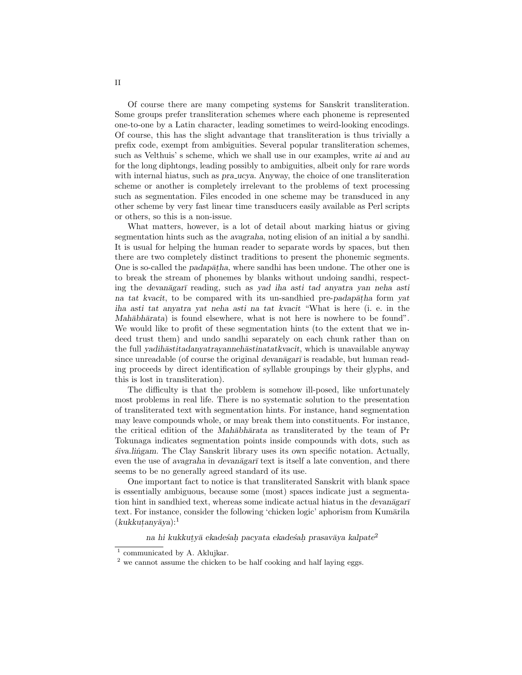Of course there are many competing systems for Sanskrit transliteration. Some groups prefer transliteration schemes where each phoneme is represented one-to-one by a Latin character, leading sometimes to weird-looking encodings. Of course, this has the slight advantage that transliteration is thus trivially a prefix code, exempt from ambiguities. Several popular transliteration schemes, such as Velthuis' s scheme, which we shall use in our examples, write ai and au for the long diphtongs, leading possibly to ambiguities, albeit only for rare words with internal hiatus, such as *pra ucya*. Anyway, the choice of one transliteration scheme or another is completely irrelevant to the problems of text processing such as segmentation. Files encoded in one scheme may be transduced in any other scheme by very fast linear time transducers easily available as Perl scripts or others, so this is a non-issue.

What matters, however, is a lot of detail about marking hiatus or giving segmentation hints such as the avagraha, noting elision of an initial a by sandhi. It is usual for helping the human reader to separate words by spaces, but then there are two completely distinct traditions to present the phonemic segments. One is so-called the *padap* $\bar{a}$ *tha*, where sandhi has been undone. The other one is to break the stream of phonemes by blanks without undoing sandhi, respecting the devanagar<del>i</del> reading, such as yad iha asti tad anyatra yan neha asti na tat kvacit, to be compared with its un-sandhied pre-padap $\bar{a}$ tha form yat iha asti tat anyatra yat neha asti na tat kvacit "What is here (i. e. in the Mahābhārata) is found elsewhere, what is not here is nowhere to be found". We would like to profit of these segmentation hints (to the extent that we indeed trust them) and undo sandhi separately on each chunk rather than on the full *yadih* $\bar{a}$ stitadanyatrayanneh $\bar{a}$ stinatatkvacit, which is unavailable anyway since unreadable (of course the original devanagar $\bar{\tau}$  is readable, but human reading proceeds by direct identification of syllable groupings by their glyphs, and this is lost in transliteration).

The difficulty is that the problem is somehow ill-posed, like unfortunately most problems in real life. There is no systematic solution to the presentation of transliterated text with segmentation hints. For instance, hand segmentation may leave compounds whole, or may break them into constituents. For instance, the critical edition of the Mahabharata as transliterated by the team of Pr Tokunaga indicates segmentation points inside compounds with dots, such as  $\langle$  siva.lingam. The Clay Sanskrit library uses its own specific notation. Actually, even the use of avagraha in devanagari text is itself a late convention, and there seems to be no generally agreed standard of its use.

One important fact to notice is that transliterated Sanskrit with blank space is essentially ambiguous, because some (most) spaces indicate just a segmentation hint in sandhied text, whereas some indicate actual hiatus in the devan $\bar{a}$ gar $\bar{\tau}$ text. For instance, consider the following 'chicken logic' aphorism from Kumārila  $(kukkuta n vāva):<sup>1</sup>$ 

na hi kukkutyā ekadesah pacyata ekadesah prasavāya kalpate<sup>2</sup>

<sup>&</sup>lt;sup>1</sup> communicated by A. Aklujkar.

<sup>&</sup>lt;sup>2</sup> we cannot assume the chicken to be half cooking and half laying eggs.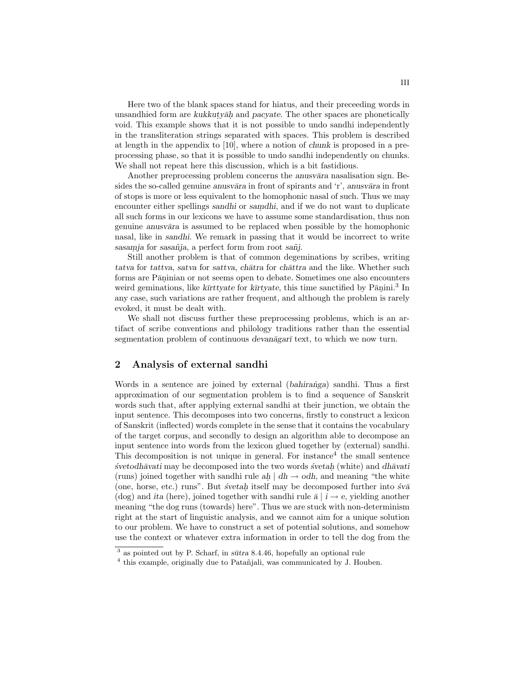Here two of the blank spaces stand for hiatus, and their preceeding words in unsandhied form are kukkuty $\bar{a}h$  and pacyate. The other spaces are phonetically void. This example shows that it is not possible to undo sandhi independently in the transliteration strings separated with spaces. This problem is described at length in the appendix to [10], where a notion of chunk is proposed in a preprocessing phase, so that it is possible to undo sandhi independently on chunks. We shall not repeat here this discussion, which is a bit fastidious.

Another preprocessing problem concerns the *anusvativa* nasalisation sign. Besides the so-called genuine anusv $\bar{a}$ ra in front of spirants and 'r', anusv $\bar{a}$ ra in front of stops is more or less equivalent to the homophonic nasal of such. Thus we may encounter either spellings sandhi or samdhi, and if we do not want to duplicate all such forms in our lexicons we have to assume some standardisation, thus non genuine anusvara is assumed to be replaced when possible by the homophonic nasal, like in sandhi. We remark in passing that it would be incorrect to write  $sasamja$  for  $sasañja$ , a perfect form from root  $sañj$ .

Still another problem is that of common degeminations by scribes, writing tatva for tattva, satva for sattva, chātra for chāttra and the like. Whether such forms are Pāṇinian or not seems open to debate. Sometimes one also encounters weird geminations, like  $k\bar{u}t$ tyate for  $k\bar{u}t$ tyate, this time sanctified by Pāṇini.<sup>3</sup> In any case, such variations are rather frequent, and although the problem is rarely evoked, it must be dealt with.

We shall not discuss further these preprocessing problems, which is an artifact of scribe conventions and philology traditions rather than the essential segmentation problem of continuous devanagar $\bar{a}$  text, to which we now turn.

### 2 Analysis of external sandhi

Words in a sentence are joined by external (bahiranga) sandhi. Thus a first approximation of our segmentation problem is to find a sequence of Sanskrit words such that, after applying external sandhi at their junction, we obtain the input sentence. This decomposes into two concerns, firstly to construct a lexicon of Sanskrit (inflected) words complete in the sense that it contains the vocabulary of the target corpus, and secondly to design an algorithm able to decompose an input sentence into words from the lexicon glued together by (external) sandhi. This decomposition is not unique in general. For instance<sup>4</sup> the small sentence  $\acute{s}v$ etodhāvati may be decomposed into the two words  $\acute{s}v$ etah (white) and dhāvati (runs) joined together with sandhi rule  $a\dot{h}$  |  $dh \rightarrow o dh$ , and meaning "the white (one, horse, etc.) runs". But  $\acute{s}veta$  itself may be decomposed further into  $\acute{s}v\bar{a}$ (dog) and ita (here), joined together with sandhi rule  $\bar{a} \mid i \rightarrow e$ , yielding another meaning "the dog runs (towards) here". Thus we are stuck with non-determinism right at the start of linguistic analysis, and we cannot aim for a unique solution to our problem. We have to construct a set of potential solutions, and somehow use the context or whatever extra information in order to tell the dog from the

<sup>&</sup>lt;sup>3</sup> as pointed out by P. Scharf, in  $s\bar{u}$ tra 8.4.46, hopefully an optional rule

<sup>&</sup>lt;sup>4</sup> this example, originally due to Patañjali, was communicated by J. Houben.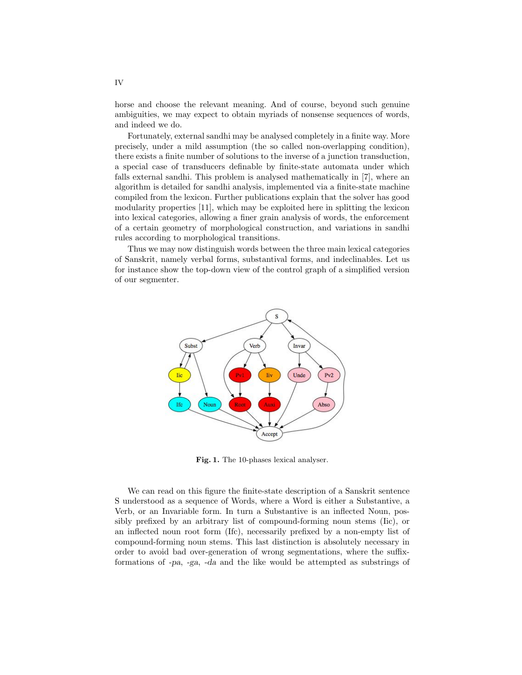horse and choose the relevant meaning. And of course, beyond such genuine ambiguities, we may expect to obtain myriads of nonsense sequences of words, and indeed we do.

Fortunately, external sandhi may be analysed completely in a finite way. More precisely, under a mild assumption (the so called non-overlapping condition), there exists a finite number of solutions to the inverse of a junction transduction, a special case of transducers definable by finite-state automata under which falls external sandhi. This problem is analysed mathematically in [7], where an algorithm is detailed for sandhi analysis, implemented via a finite-state machine compiled from the lexicon. Further publications explain that the solver has good modularity properties [11], which may be exploited here in splitting the lexicon into lexical categories, allowing a finer grain analysis of words, the enforcement of a certain geometry of morphological construction, and variations in sandhi rules according to morphological transitions.

Thus we may now distinguish words between the three main lexical categories of Sanskrit, namely verbal forms, substantival forms, and indeclinables. Let us for instance show the top-down view of the control graph of a simplified version of our segmenter.



Fig. 1. The 10-phases lexical analyser.

We can read on this figure the finite-state description of a Sanskrit sentence S understood as a sequence of Words, where a Word is either a Substantive, a Verb, or an Invariable form. In turn a Substantive is an inflected Noun, possibly prefixed by an arbitrary list of compound-forming noun stems (Iic), or an inflected noun root form (Ifc), necessarily prefixed by a non-empty list of compound-forming noun stems. This last distinction is absolutely necessary in order to avoid bad over-generation of wrong segmentations, where the suffixformations of -pa, -ga, -da and the like would be attempted as substrings of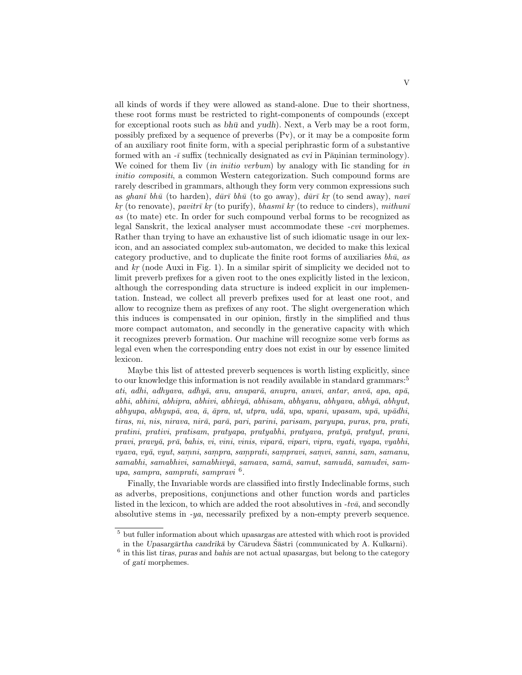all kinds of words if they were allowed as stand-alone. Due to their shortness, these root forms must be restricted to right-components of compounds (except for exceptional roots such as  $bh\bar{u}$  and yudh). Next, a Verb may be a root form, possibly prefixed by a sequence of preverbs (Pv), or it may be a composite form of an auxiliary root finite form, with a special periphrastic form of a substantive formed with an  $-\bar{i}$  suffix (technically designated as *cvi* in Pāṇinian terminology). We coined for them Iiv  $(in\ initio\ verbum)$  by analogy with Iic standing for in initio compositi, a common Western categorization. Such compound forms are rarely described in grammars, although they form very common expressions such as ghanī bhū (to harden), dūrī bhū (to go away), dūrī kr (to send away), navī  $kr$  (to renovate), pavitrī kr (to purify), bhasmī kr (to reduce to cinders), mithunī as (to mate) etc. In order for such compound verbal forms to be recognized as legal Sanskrit, the lexical analyser must accommodate these -cvi morphemes. Rather than trying to have an exhaustive list of such idiomatic usage in our lexicon, and an associated complex sub-automaton, we decided to make this lexical category productive, and to duplicate the finite root forms of auxiliaries  $bh\bar{u}$ , as and  $kr$  (node Auxi in Fig. 1). In a similar spirit of simplicity we decided not to limit preverb prefixes for a given root to the ones explicitly listed in the lexicon, although the corresponding data structure is indeed explicit in our implementation. Instead, we collect all preverb prefixes used for at least one root, and allow to recognize them as prefixes of any root. The slight overgeneration which this induces is compensated in our opinion, firstly in the simplified and thus more compact automaton, and secondly in the generative capacity with which it recognizes preverb formation. Our machine will recognize some verb forms as legal even when the corresponding entry does not exist in our by essence limited lexicon.

Maybe this list of attested preverb sequences is worth listing explicitly, since to our knowledge this information is not readily available in standard grammars:<sup>5</sup> ati, adhi, adhyava, adhyā, anu, anuparā, anupra, anuvi, antar, anvā, apa, apā,  $abhi$ , abhini, abhipra, abhivi, abhivy $\bar{a}$ , abhisam, abhyanu, abhyava, abhy $\bar{a}$ , abhyut,  $abhyupa, abhyup\bar{a}, av\bar{a}, \bar{a}pra, ut, utpra, ud\bar{a}, upa, upani, upasam, up\bar{a}, up\bar{a}dhi,$ tiras, ni, nis, nirava, nirā, parā, pari, parini, parisam, paryupa, puras, pra, prati, pratini, prativi, pratisam, pratyapa, pratyabhi, pratyava, praty $\bar{a}$ , pratyut, prani, pravi, pravyā, prā, bahis, vi, vini, vinis, viparā, vipari, vipra, vyati, vyapa, vyabhi, vyava, vyā, vyut, samni, sampra, samprati, sampravi, samvi, sanni, sam. samanu, samabhi, samabhivi, samabhivyā, samava, samā, samut, samudā, samudvi, samupa, sampra, samprati, sampravi <sup>6</sup> .

Finally, the Invariable words are classified into firstly Indeclinable forms, such as adverbs, prepositions, conjunctions and other function words and particles listed in the lexicon, to which are added the root absolutives in  $-tv\bar{a}$ , and secondly absolutive stems in  $-ya$ , necessarily prefixed by a non-empty preverb sequence.

 $5$  but fuller information about which upasargas are attested with which root is provided in the Upasargārtha candrikā by Cārudeva Śāstri (communicated by A. Kulkarni).

 $6$  in this list tiras, puras and bahis are not actual upasargas, but belong to the category of gati morphemes.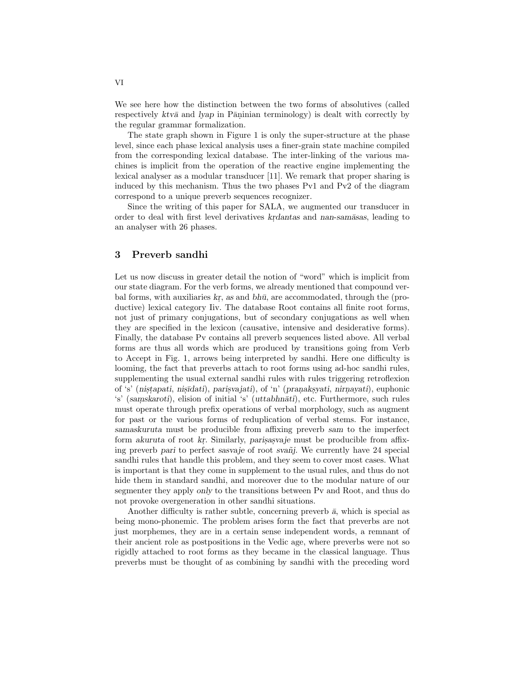We see here how the distinction between the two forms of absolutives (called respectively  $ktv\bar{a}$  and  $lyap$  in P $\bar{a}$ ninian terminology) is dealt with correctly by the regular grammar formalization.

The state graph shown in Figure 1 is only the super-structure at the phase level, since each phase lexical analysis uses a finer-grain state machine compiled from the corresponding lexical database. The inter-linking of the various machines is implicit from the operation of the reactive engine implementing the lexical analyser as a modular transducer [11]. We remark that proper sharing is induced by this mechanism. Thus the two phases Pv1 and Pv2 of the diagram correspond to a unique preverb sequences recognizer.

Since the writing of this paper for SALA, we augmented our transducer in order to deal with first level derivatives krdantas and nan-samāsas, leading to an analyser with 26 phases.

#### 3 Preverb sandhi

Let us now discuss in greater detail the notion of "word" which is implicit from our state diagram. For the verb forms, we already mentioned that compound verbal forms, with auxiliaries  $kr$ , as and  $bh\bar{u}$ , are accommodated, through the (productive) lexical category Iiv. The database Root contains all finite root forms, not just of primary conjugations, but of secondary conjugations as well when they are specified in the lexicon (causative, intensive and desiderative forms). Finally, the database Pv contains all preverb sequences listed above. All verbal forms are thus all words which are produced by transitions going from Verb to Accept in Fig. 1, arrows being interpreted by sandhi. Here one difficulty is looming, the fact that preverbs attach to root forms using ad-hoc sandhi rules, supplementing the usual external sandhi rules with rules triggering retroflexion of 's' (nistapati, nisīdati), parisvajati), of 'n' (pranaksyati, nirnayati), euphonic 's' (samskaroti), elision of initial 's' (uttabhnāti), etc. Furthermore, such rules must operate through prefix operations of verbal morphology, such as augment for past or the various forms of reduplication of verbal stems. For instance, samaskuruta must be producible from affixing preverb sam to the imperfect form akuruta of root kr. Similarly, parisasvaje must be producible from affixing preverb pari to perfect sasvaje of root svañj. We currently have 24 special sandhi rules that handle this problem, and they seem to cover most cases. What is important is that they come in supplement to the usual rules, and thus do not hide them in standard sandhi, and moreover due to the modular nature of our segmenter they apply only to the transitions between Pv and Root, and thus do not provoke overgeneration in other sandhi situations.

Another difficulty is rather subtle, concerning preverb  $\bar{a}$ , which is special as being mono-phonemic. The problem arises form the fact that preverbs are not just morphemes, they are in a certain sense independent words, a remnant of their ancient role as postpositions in the Vedic age, where preverbs were not so rigidly attached to root forms as they became in the classical language. Thus preverbs must be thought of as combining by sandhi with the preceding word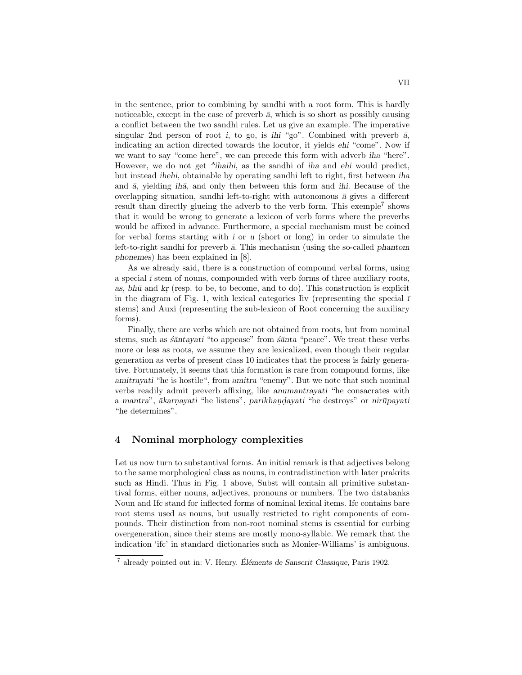in the sentence, prior to combining by sandhi with a root form. This is hardly noticeable, except in the case of preverb  $\bar{a}$ , which is so short as possibly causing a conflict between the two sandhi rules. Let us give an example. The imperative singular 2nd person of root i, to go, is ihi "go". Combined with preverb  $\bar{a}$ , indicating an action directed towards the locutor, it yields ehi "come". Now if we want to say "come here", we can precede this form with adverb iha "here". However, we do not get  $*$ *ihaihi*, as the sandhi of *iha* and *ehi* would predict, but instead ihehi, obtainable by operating sandhi left to right, first between iha and  $\bar{a}$ , yielding *ih* $\bar{a}$ , and only then between this form and *ihi*. Because of the overlapping situation, sandhi left-to-right with autonomous  $\bar{a}$  gives a different result than directly glueing the adverb to the verb form. This exemple<sup>7</sup> shows that it would be wrong to generate a lexicon of verb forms where the preverbs would be affixed in advance. Furthermore, a special mechanism must be coined for verbal forms starting with  $i$  or  $u$  (short or long) in order to simulate the left-to-right sandhi for preverb  $\bar{a}$ . This mechanism (using the so-called phantom phonemes) has been explained in [8].

As we already said, there is a construction of compound verbal forms, using a special  $\bar{\imath}$  stem of nouns, compounded with verb forms of three auxiliary roots, as,  $bh\bar{u}$  and  $kr$  (resp. to be, to become, and to do). This construction is explicit in the diagram of Fig. 1, with lexical categories Iiv (representing the special  $\bar{\textit{I}}$ stems) and Auxi (representing the sub-lexicon of Root concerning the auxiliary forms).

Finally, there are verbs which are not obtained from roots, but from nominal stems, such as  $\acute{s}$ antayati "to appease" from  $\acute{s}$ anta "peace". We treat these verbs more or less as roots, we assume they are lexicalized, even though their regular generation as verbs of present class 10 indicates that the process is fairly generative. Fortunately, it seems that this formation is rare from compound forms, like amitrayati "he is hostile", from amitra "enemy". But we note that such nominal verbs readily admit preverb affixing, like anumantrayati "he consacrates with a mantra", ākarnayati "he listens", parikhandayati "he destroys" or nirūpayati "he determines".

#### 4 Nominal morphology complexities

Let us now turn to substantival forms. An initial remark is that adjectives belong to the same morphological class as nouns, in contradistinction with later prakrits such as Hindi. Thus in Fig. 1 above, Subst will contain all primitive substantival forms, either nouns, adjectives, pronouns or numbers. The two databanks Noun and Ifc stand for inflected forms of nominal lexical items. Ifc contains bare root stems used as nouns, but usually restricted to right components of compounds. Their distinction from non-root nominal stems is essential for curbing overgeneration, since their stems are mostly mono-syllabic. We remark that the indication 'ifc' in standard dictionaries such as Monier-Williams' is ambiguous.

 $^7$  already pointed out in: V. Henry. Éléments de Sanscrit Classique, Paris 1902.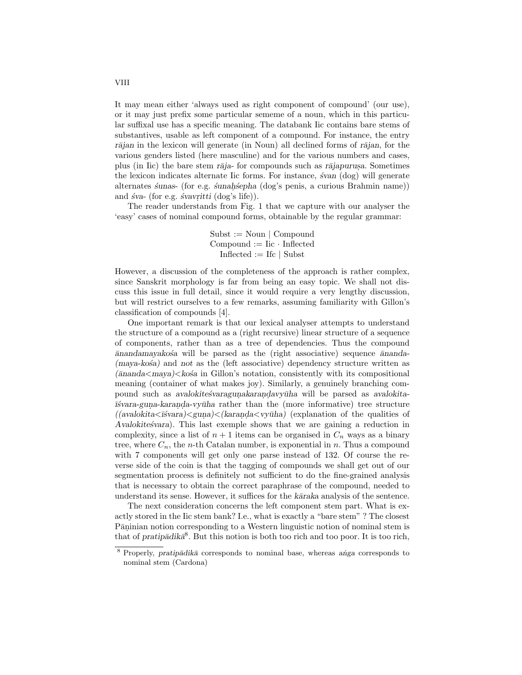It may mean either 'always used as right component of compound' (our use), or it may just prefix some particular sememe of a noun, which in this particular suffixal use has a specific meaning. The databank Iic contains bare stems of substantives, usable as left component of a compound. For instance, the entry  $r\bar{a}$ jan in the lexicon will generate (in Noun) all declined forms of  $r\bar{a}$ jan, for the various genders listed (here masculine) and for the various numbers and cases, plus (in Iic) the bare stem r $\bar{a}$ ja- for compounds such as r $\bar{a}$ japurus. Sometimes the lexicon indicates alternate Iic forms. For instance,  $\acute{s}van$  (dog) will generate alternates sunas- (for e.g. sunahsepha (dog's penis, a curious Brahmin name)) and  $\acute{s}va$ - (for e.g.  $\acute{s}vavritti$  (dog's life)).

The reader understands from Fig. 1 that we capture with our analyser the 'easy' cases of nominal compound forms, obtainable by the regular grammar:

> $Subst := Noun \mid Compound$  $Combound := Iic \cdot Inflected$  $Inflected := Ifc | Subst$

However, a discussion of the completeness of the approach is rather complex, since Sanskrit morphology is far from being an easy topic. We shall not discuss this issue in full detail, since it would require a very lengthy discussion, but will restrict ourselves to a few remarks, assuming familiarity with Gillon's classification of compounds [4].

One important remark is that our lexical analyser attempts to understand the structure of a compound as a (right recursive) linear structure of a sequence of components, rather than as a tree of dependencies. Thus the compound  $\bar{a}$ nandamayakośa will be parsed as the (right associative) sequence  $\bar{a}$ nanda- $(maya-kosa)$  and not as the (left associative) dependency structure written as  $(\bar{a}nanda  $\lt k$  osa in Gillon's notation, consistently with its compositional$ meaning (container of what makes joy). Similarly, a genuinely branching compound such as avalokitestvaragunakarandavyūha will be parsed as avalokita- $\vec{i}$ svara-guna-karanda-vy $\vec{u}$ ha rather than the (more informative) tree structure  $((a$ valokita $\langle \langle \bar{x} \rangle \rangle \langle \langle \bar{x} \rangle)$  associated  $\langle \langle \bar{x} \rangle \langle \langle \bar{x} \rangle \rangle$  (explanation of the qualities of Avalokitestvara). This last exemple shows that we are gaining a reduction in complexity, since a list of  $n + 1$  items can be organised in  $C_n$  ways as a binary tree, where  $C_n$ , the *n*-th Catalan number, is exponential in *n*. Thus a compound with 7 components will get only one parse instead of 132. Of course the reverse side of the coin is that the tagging of compounds we shall get out of our segmentation process is definitely not sufficient to do the fine-grained analysis that is necessary to obtain the correct paraphrase of the compound, needed to understand its sense. However, it suffices for the kāraka analysis of the sentence.

The next consideration concerns the left component stem part. What is exactly stored in the Iic stem bank? I.e., what is exactly a "bare stem" ? The closest Pāṇinian notion corresponding to a Western linguistic notion of nominal stem is that of pratip $\bar{a}$ dik $\bar{a}^8$ . But this notion is both too rich and too poor. It is too rich,

 $8$  Properly, pratipādikā corresponds to nominal base, whereas anga corresponds to nominal stem (Cardona)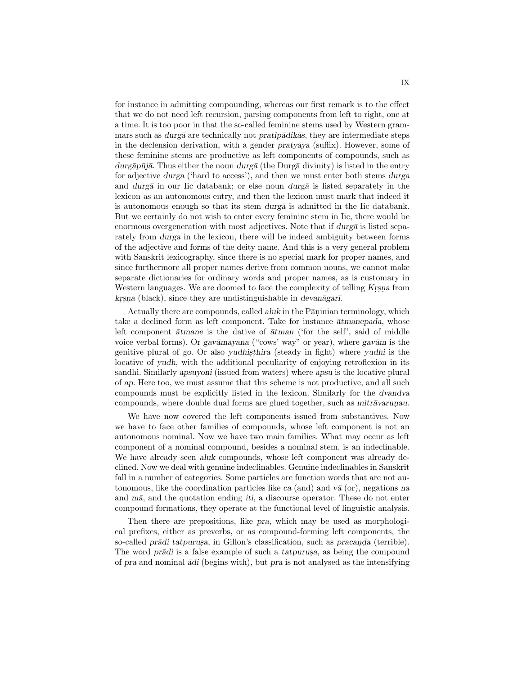for instance in admitting compounding, whereas our first remark is to the effect that we do not need left recursion, parsing components from left to right, one at a time. It is too poor in that the so-called feminine stems used by Western grammars such as durgā are technically not pratipādikās, they are intermediate steps in the declension derivation, with a gender pratyaya (suffix). However, some of these feminine stems are productive as left components of compounds, such as durgāpūjā. Thus either the noun durgā (the Durgā divinity) is listed in the entry for adjective durga ('hard to access'), and then we must enter both stems durga and durg $\bar{a}$  in our Iic databank; or else noun durg $\bar{a}$  is listed separately in the lexicon as an autonomous entry, and then the lexicon must mark that indeed it is autonomous enough so that its stem durga is admitted in the Iic databank. But we certainly do not wish to enter every feminine stem in Iic, there would be enormous overgeneration with most adjectives. Note that if durga is listed separately from durga in the lexicon, there will be indeed ambiguity between forms of the adjective and forms of the deity name. And this is a very general problem with Sanskrit lexicography, since there is no special mark for proper names, and since furthermore all proper names derive from common nouns, we cannot make separate dictionaries for ordinary words and proper names, as is customary in Western languages. We are doomed to face the complexity of telling Krsna from krsna (black), since they are undistinguishable in *devanagar*ī.

Actually there are compounds, called *aluk* in the Pāninian terminology, which take a declined form as left component. Take for instance  $\bar{a}t$ manepada, whose left component  $\bar{a}$ tmane is the dative of  $\bar{a}$ tman ('for the self', said of middle voice verbal forms). Or gav $\bar{a}$ mayana ("cows' way" or year), where gav $\bar{a}$ m is the genitive plural of go. Or also yudhisthira (steady in fight) where yudhi is the locative of yudh, with the additional peculiarity of enjoying retroflexion in its sandhi. Similarly apsuyoni (issued from waters) where apsu is the locative plural of ap. Here too, we must assume that this scheme is not productive, and all such compounds must be explicitly listed in the lexicon. Similarly for the dvandva compounds, where double dual forms are glued together, such as mitrāvarunau.

We have now covered the left components issued from substantives. Now we have to face other families of compounds, whose left component is not an autonomous nominal. Now we have two main families. What may occur as left component of a nominal compound, besides a nominal stem, is an indeclinable. We have already seen aluk compounds, whose left component was already declined. Now we deal with genuine indeclinables. Genuine indeclinables in Sanskrit fall in a number of categories. Some particles are function words that are not autonomous, like the coordination particles like ca (and) and va  $(\sigma)$ , negations na and  $m\bar{a}$ , and the quotation ending *iti*, a discourse operator. These do not enter compound formations, they operate at the functional level of linguistic analysis.

Then there are prepositions, like pra, which may be used as morphological prefixes, either as preverbs, or as compound-forming left components, the so-called prādi tatpurusa, in Gillon's classification, such as pracanda (terrible). The word pradi is a false example of such a tatpurusa, as being the compound of pra and nominal  $\bar{a}di$  (begins with), but pra is not analysed as the intensifying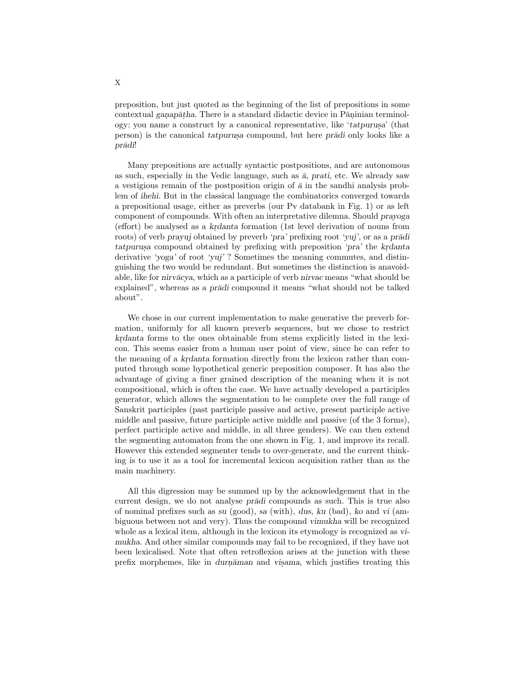preposition, but just quoted as the beginning of the list of prepositions in some  $\text{contextual } ganap\bar{a}tha.$  There is a standard didactic device in Pāṇinian terminology: you name a construct by a canonical representative, like ' $tatpurusa$ ' (that person) is the canonical tatpurus compound, but here pradi only looks like a prādi!

Many prepositions are actually syntactic postpositions, and are autonomous as such, especially in the Vedic language, such as  $\bar{a}$ , prati, etc. We already saw a vestigious remain of the postposition origin of  $\bar{a}$  in the sandhi analysis problem of ihehi. But in the classical language the combinatorics converged towards a prepositional usage, either as preverbs (our Pv databank in Fig. 1) or as left component of compounds. With often an interpretative dilemna. Should prayoga (effort) be analysed as a krdanta formation (1st level derivation of nouns from roots) of verb prayuj obtained by preverb 'pra' prefixing root 'yuj', or as a praditatpurus acompound obtained by prefixing with preposition 'pra' the krdanta derivative 'yoga' of root 'yuj' ? Sometimes the meaning commutes, and distinguishing the two would be redundant. But sometimes the distinction is anavoidable, like for nirvācya, which as a participle of verb nirvac means "what should be explained", whereas as a *pr* $\overline{a}d$  compound it means "what should not be talked about".

We chose in our current implementation to make generative the preverb formation, uniformly for all known preverb sequences, but we chose to restrict krdanta forms to the ones obtainable from stems explicitly listed in the lexicon. This seems easier from a human user point of view, since he can refer to the meaning of a kr.danta formation directly from the lexicon rather than computed through some hypothetical generic preposition composer. It has also the advantage of giving a finer grained description of the meaning when it is not compositional, which is often the case. We have actually developed a participles generator, which allows the segmentation to be complete over the full range of Sanskrit participles (past participle passive and active, present participle active middle and passive, future participle active middle and passive (of the 3 forms), perfect participle active and middle, in all three genders). We can then extend the segmenting automaton from the one shown in Fig. 1, and improve its recall. However this extended segmenter tends to over-generate, and the current thinking is to use it as a tool for incremental lexicon acquisition rather than as the main machinery.

All this digression may be summed up by the acknowledgement that in the current design, we do not analyse *prādi* compounds as such. This is true also of nominal prefixes such as su (good), sa (with), dus, ku (bad), ko and vi (ambiguous between not and very). Thus the compound vimukha will be recognized whole as a lexical item, although in the lexicon its etymology is recognized as vimukha. And other similar compounds may fail to be recognized, if they have not been lexicalised. Note that often retroflexion arises at the junction with these prefix morphemes, like in durnāman and visama, which justifies treating this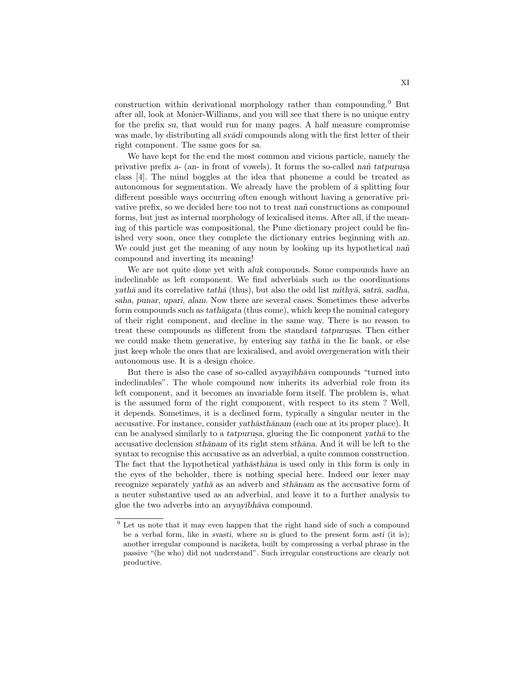construction within derivational morphology rather than compounding.<sup>9</sup> But after all, look at Monier-Williams, and you will see that there is no unique entry for the prefix su, that would run for many pages. A half measure compromise was made, by distributing all svadi compounds along with the first letter of their right component. The same goes for sa.

We have kept for the end the most common and vicious particle, namely the privative prefix  $a-$  (an- in front of vowels). It forms the so-called nan tatpurus. class [4]. The mind boggles at the idea that phoneme a could be treated as autonomous for segmentation. We already have the problem of  $\bar{a}$  splitting four different possible ways occurring often enough without having a generative privative prefix, so we decided here too not to treat nañ constructions as compound forms, but just as internal morphology of lexicalised items. After all, if the meaning of this particle was compositional, the Pune dictionary project could be finished very soon, once they complete the dictionary entries beginning with an. We could just get the meaning of any noun by looking up its hypothetical nañ compound and inverting its meaning!

We are not quite done yet with aluk compounds. Some compounds have an indeclinable as left component. We find adverbials such as the coordinations yathā and its correlative tathā (thus), but also the odd list mithyā, satrā, sadha, saha, punar, upari, alam. Now there are several cases. Sometimes these adverbs form compounds such as  $tath\bar{a}gata$  (thus come), which keep the nominal category of their right component, and decline in the same way. There is no reason to treat these compounds as different from the standard tatpurus is. Then either we could make them generative, by entering say  $tath\bar{a}$  in the Iic bank, or else just keep whole the ones that are lexicalised, and avoid overgeneration with their autonomous use. It is a design choice.

But there is also the case of so-called avyayībhava compounds "turned into indeclinables". The whole compound now inherits its adverbial role from its left component, and it becomes an invariable form itself. The problem is, what is the assumed form of the right component, with respect to its stem ? Well, it depends. Sometimes, it is a declined form, typically a singular neuter in the accusative. For instance, consider yath $\bar{a}$ sth $\bar{a}$ nam (each one at its proper place). It can be analysed similarly to a tatpurusa, glueing the Iic component yath $\bar{a}$  to the accusative declension sthānam of its right stem sthāna. And it will be left to the syntax to recognise this accusative as an adverbial, a quite common construction. The fact that the hypothetical yathāsthāna is used only in this form is only in the eyes of the beholder, there is nothing special here. Indeed our lexer may recognize separately vath $\bar{a}$  as an adverb and sth $\bar{a}$ nam as the accusative form of a neuter substantive used as an adverbial, and leave it to a further analysis to glue the two adverbs into an avyayībhāva compound.

<sup>&</sup>lt;sup>9</sup> Let us note that it may even happen that the right hand side of such a compound be a verbal form, like in svasti, where su is glued to the present form asti (it is); another irregular compound is naciketa, built by compressing a verbal phrase in the passive "(he who) did not understand". Such irregular constructions are clearly not productive.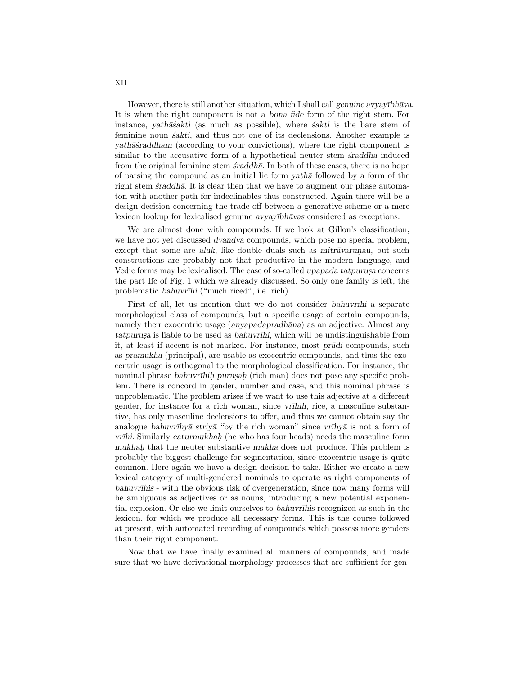However, there is still another situation, which I shall call genuine avyayībh $\bar{a}$ va. It is when the right component is not a bona fide form of the right stem. For instance, yath $\bar{a}$ sakti (as much as possible), where  $\acute{s}$ akti is the bare stem of feminine noun *sakti*, and thus not one of its declensions. Another example is yath $\bar{a}$ s standard (according to your convictions), where the right component is similar to the accusative form of a hypothetical neuter stem  $\emph{israddha}$  induced from the original feminine stem  $\dot{x}$  raddh $\bar{a}$ . In both of these cases, there is no hope of parsing the compound as an initial  $\overline{\text{lic}}$  form  $\overline{\text{vath}}$  followed by a form of the right stem  $\acute{s}raddh\bar{a}$ . It is clear then that we have to augment our phase automaton with another path for indeclinables thus constructed. Again there will be a design decision concerning the trade-off between a generative scheme or a mere lexicon lookup for lexicalised genuine avyay $\bar{v}$ bh $\bar{a}v$ as considered as exceptions.

We are almost done with compounds. If we look at Gillon's classification, we have not yet discussed dvandva compounds, which pose no special problem, except that some are aluk, like double duals such as mitr $\bar{a}$ varunau, but such constructions are probably not that productive in the modern language, and Vedic forms may be lexicalised. The case of so-called upapada tatpurusa concerns the part Ifc of Fig. 1 which we already discussed. So only one family is left, the problematic bahuvrīhi ("much riced", i.e. rich).

First of all, let us mention that we do not consider bahuvrīhi a separate morphological class of compounds, but a specific usage of certain compounds, namely their exocentric usage (anyapadapradhāna) as an adjective. Almost any tatpurus is liable to be used as bahuvrīhi, which will be undistinguishable from it, at least if accent is not marked. For instance, most pradi compounds, such as pramukha (principal), are usable as exocentric compounds, and thus the exocentric usage is orthogonal to the morphological classification. For instance, the nominal phrase bahuvrīhih purusah (rich man) does not pose any specific problem. There is concord in gender, number and case, and this nominal phrase is unproblematic. The problem arises if we want to use this adjective at a different gender, for instance for a rich woman, since vrīhih, rice, a masculine substantive, has only masculine declensions to offer, and thus we cannot obtain say the analogue bahuvrīhyā striyā "by the rich woman" since vrīhyā is not a form of vrīhi. Similarly caturmukhah (he who has four heads) needs the masculine form mukhah that the neuter substantive mukha does not produce. This problem is probably the biggest challenge for segmentation, since exocentric usage is quite common. Here again we have a design decision to take. Either we create a new lexical category of multi-gendered nominals to operate as right components of bahuvrīhis - with the obvious risk of overgeneration, since now many forms will be ambiguous as adjectives or as nouns, introducing a new potential exponential explosion. Or else we limit ourselves to bahuvrī his recognized as such in the lexicon, for which we produce all necessary forms. This is the course followed at present, with automated recording of compounds which possess more genders than their right component.

Now that we have finally examined all manners of compounds, and made sure that we have derivational morphology processes that are sufficient for gen-

XII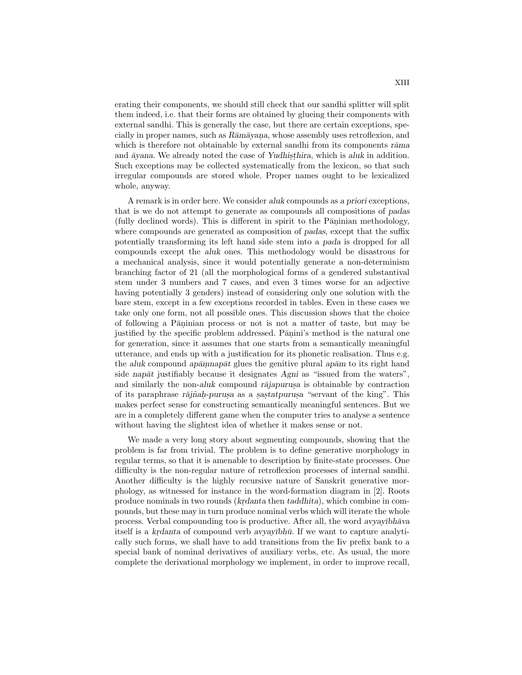erating their components, we should still check that our sandhi splitter will split them indeed, i.e. that their forms are obtained by glueing their components with external sandhi. This is generally the case, but there are certain exceptions, specially in proper names, such as  $R\bar{a}m\bar{a}yana$ , whose assembly uses retroflexion, and which is therefore not obtainable by external sandhi from its components  $r\bar{a}$ ma and  $\bar{a}$ yana. We already noted the case of Yudhisthira, which is aluk in addition. Such exceptions may be collected systematically from the lexicon, so that such irregular compounds are stored whole. Proper names ought to be lexicalized whole, anyway.

A remark is in order here. We consider aluk compounds as a priori exceptions, that is we do not attempt to generate as compounds all compositions of padas (fully declined words). This is different in spirit to the Pāṇinian methodology, where compounds are generated as composition of padas, except that the suffix potentially transforming its left hand side stem into a pada is dropped for all compounds except the aluk ones. This methodology would be disastrous for a mechanical analysis, since it would potentially generate a non-determinism branching factor of 21 (all the morphological forms of a gendered substantival stem under 3 numbers and 7 cases, and even 3 times worse for an adjective having potentially 3 genders) instead of considering only one solution with the bare stem, except in a few exceptions recorded in tables. Even in these cases we take only one form, not all possible ones. This discussion shows that the choice of following a Pāṇinian process or not is not a matter of taste, but may be justified by the specific problem addressed. Pāṇini's method is the natural one for generation, since it assumes that one starts from a semantically meaningful utterance, and ends up with a justification for its phonetic realisation. Thus e.g. the aluk compound ap $\bar{a}$ m. nap $\bar{a}t$  glues the genitive plural ap $\bar{a}$ m to its right hand side nap $\bar{a}t$  justifiably because it designates Agni as "issued from the waters", and similarly the non-aluk compound rajapurus is obtainable by contraction of its paraphrase rājñaḥ-purusa as a sastatpurusa "servant of the king". This makes perfect sense for constructing semantically meaningful sentences. But we are in a completely different game when the computer tries to analyse a sentence without having the slightest idea of whether it makes sense or not.

We made a very long story about segmenting compounds, showing that the problem is far from trivial. The problem is to define generative morphology in regular terms, so that it is amenable to description by finite-state processes. One difficulty is the non-regular nature of retroflexion processes of internal sandhi. Another difficulty is the highly recursive nature of Sanskrit generative morphology, as witnessed for instance in the word-formation diagram in [2]. Roots produce nominals in two rounds (krdanta then taddhita), which combine in compounds, but these may in turn produce nominal verbs which will iterate the whole process. Verbal compounding too is productive. After all, the word avyay $\bar{v}$ bh $\bar{a}v$ a itself is a krdanta of compound verb avyay $\bar{v}$ bh $\bar{u}$ . If we want to capture analytically such forms, we shall have to add transitions from the Iiv prefix bank to a special bank of nominal derivatives of auxiliary verbs, etc. As usual, the more complete the derivational morphology we implement, in order to improve recall,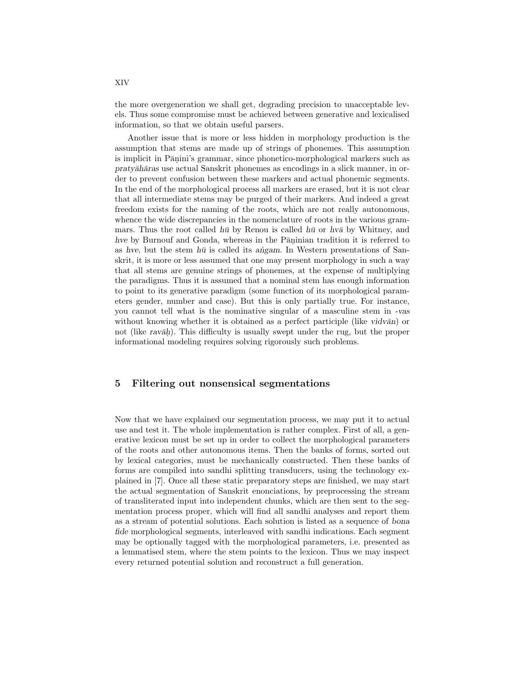the more overgeneration we shall get, degrading precision to unacceptable levels. Thus some compromise must be achieved between generative and lexicalised information, so that we obtain useful parsers.

Another issue that is more or less hidden in morphology production is the assumption that stems are made up of strings of phonemes. This assumption is implicit in Pāṇini's grammar, since phonetico-morphological markers such as pratyāhāras use actual Sanskrit phonemes as encodings in a slick manner, in order to prevent confusion between these markers and actual phonemic segments. In the end of the morphological process all markers are erased, but it is not clear that all intermediate stems may be purged of their markers. And indeed a great freedom exists for the naming of the roots, which are not really autonomous, whence the wide discrepancies in the nomenclature of roots in the various grammars. Thus the root called  $h\bar{u}$  by Renou is called  $h\bar{u}$  or  $h\nu\bar{a}$  by Whitney, and hve by Burnouf and Gonda, whereas in the Pāṇinian tradition it is referred to as hve, but the stem  $h\bar{u}$  is called its angam. In Western presentations of Sanskrit, it is more or less assumed that one may present morphology in such a way that all stems are genuine strings of phonemes, at the expense of multiplying the paradigms. Thus it is assumed that a nominal stem has enough information to point to its generative paradigm (some function of its morphological parameters gender, number and case). But this is only partially true. For instance, you cannot tell what is the nominative singular of a masculine stem in -vas without knowing whether it is obtained as a perfect participle (like vidv $\bar{a}$ n) or not (like ravāh). This difficulty is usually swept under the rug, but the proper informational modeling requires solving rigorously such problems.

#### 5 Filtering out nonsensical segmentations

Now that we have explained our segmentation process, we may put it to actual use and test it. The whole implementation is rather complex. First of all, a generative lexicon must be set up in order to collect the morphological parameters of the roots and other autonomous items. Then the banks of forms, sorted out by lexical categories, must be mechanically constructed. Then these banks of forms are compiled into sandhi splitting transducers, using the technology explained in [7]. Once all these static preparatory steps are finished, we may start the actual segmentation of Sanskrit enonciations, by preprocessing the stream of transliterated input into independent chunks, which are then sent to the segmentation process proper, which will find all sandhi analyses and report them as a stream of potential solutions. Each solution is listed as a sequence of bona fide morphological segments, interleaved with sandhi indications. Each segment may be optionally tagged with the morphological parameters, i.e. presented as a lemmatised stem, where the stem points to the lexicon. Thus we may inspect every returned potential solution and reconstruct a full generation.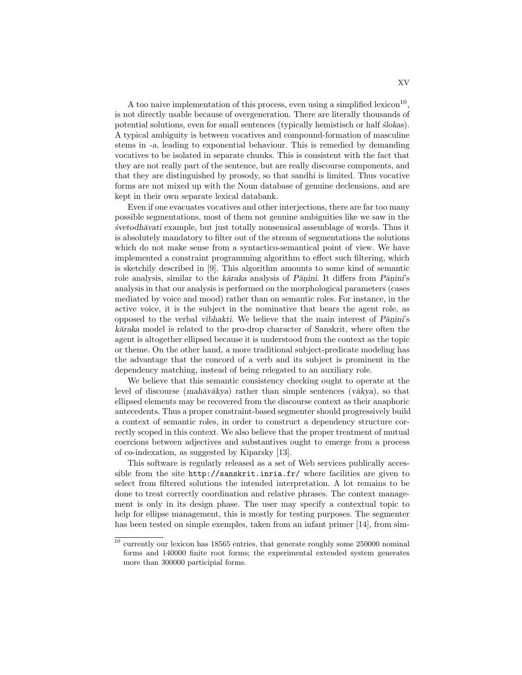A too naive implementation of this process, even using a simplified lexicon<sup>10</sup>, is not directly usable because of overgeneration. There are literally thousands of potential solutions, even for small sentences (typically hemistisch or half  $slioks$ ). A typical ambiguity is between vocatives and compound-formation of masculine stems in -a, leading to exponential behaviour. This is remedied by demanding vocatives to be isolated in separate chunks. This is consistent with the fact that they are not really part of the sentence, but are really discourse components, and that they are distinguished by prosody, so that sandhi is limited. Thus vocative forms are not mixed up with the Noun database of genuine declensions, and are kept in their own separate lexical databank.

Even if one evacuates vocatives and other interjections, there are far too many possible segmentations, most of them not genuine ambiguities like we saw in the  $\acute{s}v$ etodh $\bar{a}v$ ati example, but just totally nonsensical assemblage of words. Thus it is absolutely mandatory to filter out of the stream of segmentations the solutions which do not make sense from a syntactico-semantical point of view. We have implemented a constraint programming algorithm to effect such filtering, which is sketchily described in [9]. This algorithm amounts to some kind of semantic role analysis, similar to the kāraka analysis of Pāṇini. It differs from Pāṇini's analysis in that our analysis is performed on the morphological parameters (cases mediated by voice and mood) rather than on semantic roles. For instance, in the active voice, it is the subject in the nominative that bears the agent role, as opposed to the verbal *vibhakti*. We believe that the main interest of *P* $\overline{a}$ nini's kāraka model is related to the pro-drop character of Sanskrit, where often the agent is altogether ellipsed because it is understood from the context as the topic or theme. On the other hand, a more traditional subject-predicate modeling has the advantage that the concord of a verb and its subject is prominent in the dependency matching, instead of being relegated to an auxiliary role.

We believe that this semantic consistency checking ought to operate at the level of discourse (mah $\bar{a}v\bar{a}kva$ ) rather than simple sentences (v $\bar{a}kva$ ), so that ellipsed elements may be recovered from the discourse context as their anaphoric antecedents. Thus a proper constraint-based segmenter should progressively build a context of semantic roles, in order to construct a dependency structure correctly scoped in this context. We also believe that the proper treatment of mutual coercions between adjectives and substantives ought to emerge from a process of co-indexation, as suggested by Kiparsky [13].

This software is regularly released as a set of Web services publically accessible from the site http://sanskrit.inria.fr/ where facilities are given to select from filtered solutions the intended interpretation. A lot remains to be done to treat correctly coordination and relative phrases. The context management is only in its design phase. The user may specify a contextual topic to help for ellipse management, this is mostly for testing purposes. The segmenter has been tested on simple exemples, taken from an infant primer [14], from sim-

 $^{\rm 10}$  currently our lexicon has 18565 entries, that generate roughly some 250000 nominal forms and 140000 finite root forms; the experimental extended system generates more than 300000 participial forms.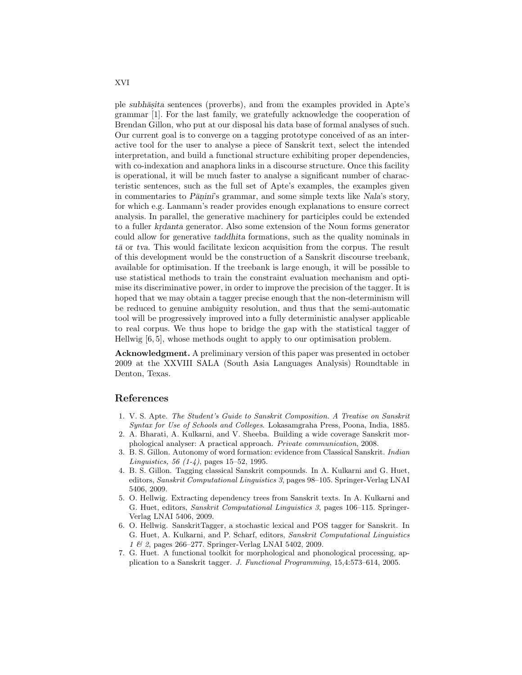ple subhāsita sentences (proverbs), and from the examples provided in Apte's grammar [1]. For the last family, we gratefully acknowledge the cooperation of Brendan Gillon, who put at our disposal his data base of formal analyses of such. Our current goal is to converge on a tagging prototype conceived of as an interactive tool for the user to analyse a piece of Sanskrit text, select the intended interpretation, and build a functional structure exhibiting proper dependencies, with co-indexation and anaphora links in a discourse structure. Once this facility is operational, it will be much faster to analyse a significant number of characteristic sentences, such as the full set of Apte's examples, the examples given in commentaries to Pāṇini's grammar, and some simple texts like Nala's story, for which e.g. Lanmann's reader provides enough explanations to ensure correct analysis. In parallel, the generative machinery for participles could be extended to a fuller krdanta generator. Also some extension of the Noun forms generator could allow for generative taddhita formations, such as the quality nominals in  $t\bar{a}$  or tva. This would facilitate lexicon acquisition from the corpus. The result of this development would be the construction of a Sanskrit discourse treebank, available for optimisation. If the treebank is large enough, it will be possible to use statistical methods to train the constraint evaluation mechanism and optimise its discriminative power, in order to improve the precision of the tagger. It is hoped that we may obtain a tagger precise enough that the non-determinism will be reduced to genuine ambiguity resolution, and thus that the semi-automatic tool will be progressively improved into a fully deterministic analyser applicable to real corpus. We thus hope to bridge the gap with the statistical tagger of Hellwig [6, 5], whose methods ought to apply to our optimisation problem.

Acknowledgment. A preliminary version of this paper was presented in october 2009 at the XXVIII SALA (South Asia Languages Analysis) Roundtable in Denton, Texas.

#### References

- 1. V. S. Apte. The Student's Guide to Sanskrit Composition. A Treatise on Sanskrit Syntax for Use of Schools and Colleges. Lokasamgraha Press, Poona, India, 1885.
- 2. A. Bharati, A. Kulkarni, and V. Sheeba. Building a wide coverage Sanskrit morphological analyser: A practical approach. Private communication, 2008.
- 3. B. S. Gillon. Autonomy of word formation: evidence from Classical Sanskrit. Indian Linguistics, 56  $(1-4)$ , pages 15–52, 1995.
- 4. B. S. Gillon. Tagging classical Sanskrit compounds. In A. Kulkarni and G. Huet, editors, Sanskrit Computational Linguistics 3, pages 98–105. Springer-Verlag LNAI 5406, 2009.
- 5. O. Hellwig. Extracting dependency trees from Sanskrit texts. In A. Kulkarni and G. Huet, editors, Sanskrit Computational Linguistics 3, pages 106–115. Springer-Verlag LNAI 5406, 2009.
- 6. O. Hellwig. SanskritTagger, a stochastic lexical and POS tagger for Sanskrit. In G. Huet, A. Kulkarni, and P. Scharf, editors, Sanskrit Computational Linguistics 1 & 2, pages 266–277. Springer-Verlag LNAI 5402, 2009.
- 7. G. Huet. A functional toolkit for morphological and phonological processing, application to a Sanskrit tagger. J. Functional Programming, 15,4:573–614, 2005.